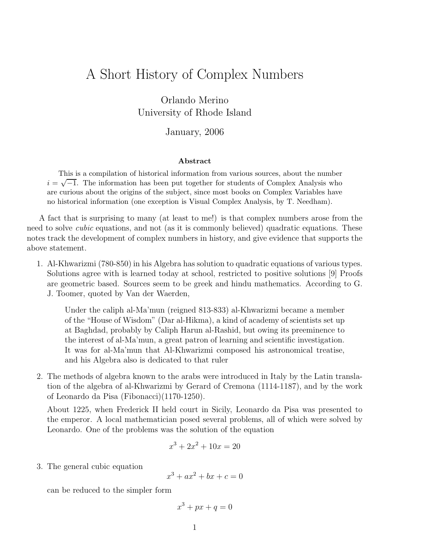## A Short History of Complex Numbers

Orlando Merino University of Rhode Island

January, 2006

## Abstract

This is a compilation of historical information from various sources, about the number  $i = \sqrt{-1}$ . The information has been put together for students of Complex Analysis who are curious about the origins of the subject, since most books on Complex Variables have no historical information (one exception is Visual Complex Analysis, by T. Needham).

A fact that is surprising to many (at least to me!) is that complex numbers arose from the need to solve *cubic* equations, and not (as it is commonly believed) quadratic equations. These notes track the development of complex numbers in history, and give evidence that supports the above statement.

1. Al-Khwarizmi (780-850) in his Algebra has solution to quadratic equations of various types. Solutions agree with is learned today at school, restricted to positive solutions [9] Proofs are geometric based. Sources seem to be greek and hindu mathematics. According to G. J. Toomer, quoted by Van der Waerden,

Under the caliph al-Ma'mun (reigned 813-833) al-Khwarizmi became a member of the "House of Wisdom" (Dar al-Hikma), a kind of academy of scientists set up at Baghdad, probably by Caliph Harun al-Rashid, but owing its preeminence to the interest of al-Ma'mun, a great patron of learning and scientific investigation. It was for al-Ma'mun that Al-Khwarizmi composed his astronomical treatise, and his Algebra also is dedicated to that ruler

2. The methods of algebra known to the arabs were introduced in Italy by the Latin translation of the algebra of al-Khwarizmi by Gerard of Cremona (1114-1187), and by the work of Leonardo da Pisa (Fibonacci)(1170-1250).

About 1225, when Frederick II held court in Sicily, Leonardo da Pisa was presented to the emperor. A local mathematician posed several problems, all of which were solved by Leonardo. One of the problems was the solution of the equation

$$
x^3 + 2x^2 + 10x = 20
$$

3. The general cubic equation

$$
x^3 + ax^2 + bx + c = 0
$$

can be reduced to the simpler form

$$
x^3 + px + q = 0
$$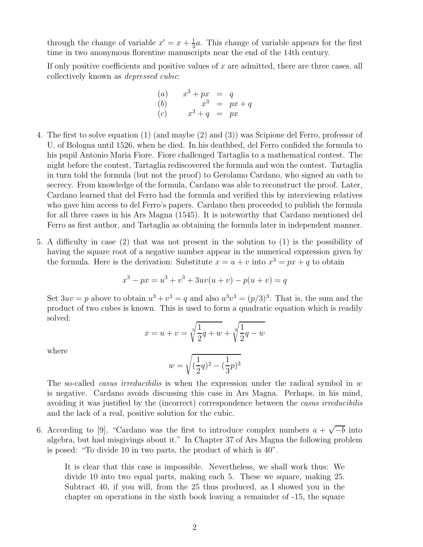through the change of variable  $x' = x + \frac{1}{3}$  $\frac{1}{3}a$ . This change of variable appears for the first time in two anonymous florentine manuscripts near the end of the 14th century.

If only positive coefficients and positive values of  $x$  are admitted, there are three cases, all collectively known as depressed cubic:

(a) 
$$
x^3 + px = q
$$
  
\n(b)  $x^3 = px + q$   
\n(c)  $x^3 + q = px$ 

- 4. The first to solve equation (1) (and maybe (2) and (3)) was Scipione del Ferro, professor of U. of Bologna until 1526, when he died. In his deathbed, del Ferro confided the formula to his pupil Antonio Maria Fiore. Fiore challenged Tartaglia to a mathematical contest. The night before the contest, Tartaglia rediscovered the formula and won the contest. Tartaglia in turn told the formula (but not the proof) to Gerolamo Cardano, who signed an oath to secrecy. From knowledge of the formula, Cardano was able to reconstruct the proof. Later, Cardano learned that del Ferro had the formula and verified this by interviewing relatives who gave him access to del Ferro's papers. Cardano then proceeded to publish the formula for all three cases in his Ars Magna (1545). It is noteworthy that Cardano mentioned del Ferro as first author, and Tartaglia as obtaining the formula later in independent manner.
- 5. A difficulty in case (2) that was not present in the solution to (1) is the possibility of having the square root of a negative number appear in the numerical expression given by the formula. Here is the derivation: Substitute  $x = u + v$  into  $x^3 = px + q$  to obtain

$$
x^{3} - px = u^{3} + v^{3} + 3uv(u + v) - p(u + v) = q
$$

Set  $3uv = p$  above to obtain  $u^3 + v^3 = q$  and also  $u^3v^3 = (p/3)^3$ . That is, the sum and the product of two cubes is known. This is used to form a quadratic equation which is readily solved:

$$
x = u + v = \sqrt[3]{\frac{1}{2}q + w} + \sqrt[3]{\frac{1}{2}q - w}
$$

where

$$
w = \sqrt{(\frac{1}{2}q)^2 - (\frac{1}{3}p)^3}
$$

The so-called *casus irreducibilis* is when the expression under the radical symbol in  $w$ is negative. Cardano avoids discussing this case in Ars Magna. Perhaps, in his mind, avoiding it was justified by the (incorrect) correspondence between the casus irreducibilis and the lack of a real, positive solution for the cubic.

6. According to [9], "Cardano was the first to introduce complex numbers  $a + \sqrt{-b}$  into algebra, but had misgivings about it." In Chapter 37 of Ars Magna the following problem is posed: "To divide 10 in two parts, the product of which is 40".

It is clear that this case is impossible. Nevertheless, we shall work thus: We divide 10 into two equal parts, making each 5. These we square, making 25. Subtract 40, if you will, from the 25 thus produced, as I showed you in the chapter on operations in the sixth book leaving a remainder of -15, the square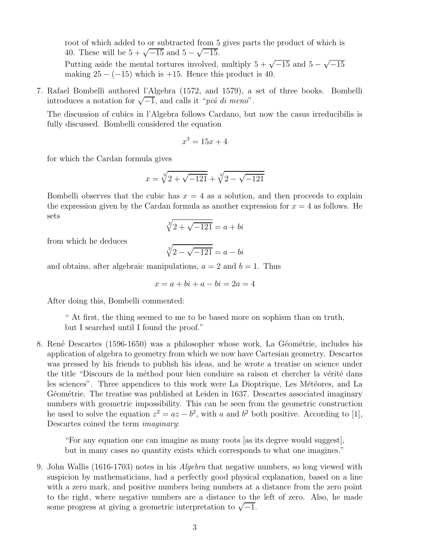root of which added to or subtracted from 5 gives parts the product of which is 40. These will be  $5 + \sqrt{-15}$  and  $5 - \sqrt{-15}$ .

Putting aside the mental tortures involved, multiply  $5 + \sqrt{-15}$  and  $5 - \sqrt{-15}$ making  $25 - (-15)$  which is  $+15$ . Hence this product is 40.

7. Rafael Bombelli authored l'Algebra (1572, and 1579), a set of three books. Bombelli introduces a notation for  $\sqrt{-1}$ , and calls it "*più di meno*".

The discussion of cubics in l'Algebra follows Cardano, but now the casus irreducibilis is fully discussed. Bombelli considered the equation

$$
x^3 = 15x + 4
$$

for which the Cardan formula gives

$$
x = \sqrt[3]{2 + \sqrt{-121}} + \sqrt[3]{2 - \sqrt{-121}}
$$

Bombelli observes that the cubic has  $x = 4$  as a solution, and then proceeds to explain the expression given by the Cardan formula as another expression for  $x = 4$  as follows. He sets

$$
\sqrt[3]{2 + \sqrt{-121}} = a + bi
$$

from which he deduces

$$
\sqrt[3]{2 - \sqrt{-121}} = a - bi
$$

and obtains, after algebraic manipulations,  $a = 2$  and  $b = 1$ . Thus

$$
x = a + bi + a - bi = 2a = 4
$$

After doing this, Bombelli commented:

" At first, the thing seemed to me to be based more on sophism than on truth, but I searched until I found the proof."

8. René Descartes (1596-1650) was a philosopher whose work, La Géométrie, includes his application of algebra to geometry from which we now have Cartesian geometry. Descartes was pressed by his friends to publish his ideas, and he wrote a treatise on science under the title "Discours de la méthod pour bien conduire sa raison et chercher la vérité dans les sciences". Three appendices to this work were La Dioptrique, Les Météores, and La Géométrie. The treatise was published at Leiden in 1637. Descartes associated imaginary numbers with geometric impossibility. This can be seen from the geometric construction he used to solve the equation  $z^2 = az - b^2$ , with a and  $b^2$  both positive. According to [1], Descartes coined the term imaginary:

"For any equation one can imagine as many roots [as its degree would suggest], but in many cases no quantity exists which corresponds to what one imagines."

9. John Wallis (1616-1703) notes in his Algebra that negative numbers, so long viewed with suspicion by mathematicians, had a perfectly good physical explanation, based on a line with a zero mark, and positive numbers being numbers at a distance from the zero point to the right, where negative numbers are a distance to the left of zero. Also, he made some progress at giving a geometric interpretation to  $\sqrt{-1}$ .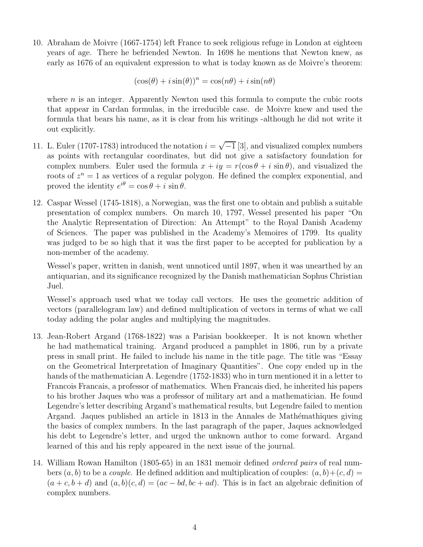10. Abraham de Moivre (1667-1754) left France to seek religious refuge in London at eighteen years of age. There he befriended Newton. In 1698 he mentions that Newton knew, as early as 1676 of an equivalent expression to what is today known as de Moivre's theorem:

$$
(\cos(\theta) + i\sin(\theta))^n = \cos(n\theta) + i\sin(n\theta)
$$

where  $n$  is an integer. Apparently Newton used this formula to compute the cubic roots that appear in Cardan formulas, in the irreducible case. de Moivre knew and used the formula that bears his name, as it is clear from his writings -although he did not write it out explicitly.

- 11. L. Euler (1707-1783) introduced the notation  $i = \sqrt{-1}$  [3], and visualized complex numbers as points with rectangular coordinates, but did not give a satisfactory foundation for complex numbers. Euler used the formula  $x + iy = r(\cos \theta + i \sin \theta)$ , and visualized the roots of  $z^n = 1$  as vertices of a regular polygon. He defined the complex exponential, and proved the identity  $e^{i\theta} = \cos \theta + i \sin \theta$ .
- 12. Caspar Wessel (1745-1818), a Norwegian, was the first one to obtain and publish a suitable presentation of complex numbers. On march 10, 1797, Wessel presented his paper "On the Analytic Representation of Direction: An Attempt" to the Royal Danish Academy of Sciences. The paper was published in the Academy's Memoires of 1799. Its quality was judged to be so high that it was the first paper to be accepted for publication by a non-member of the academy.

Wessel's paper, written in danish, went unnoticed until 1897, when it was unearthed by an antiquarian, and its significance recognized by the Danish mathematician Sophus Christian Juel.

Wessel's approach used what we today call vectors. He uses the geometric addition of vectors (parallelogram law) and defined multiplication of vectors in terms of what we call today adding the polar angles and multiplying the magnitudes.

- 13. Jean-Robert Argand (1768-1822) was a Parisian bookkeeper. It is not known whether he had mathematical training. Argand produced a pamphlet in 1806, run by a private press in small print. He failed to include his name in the title page. The title was "Essay on the Geometrical Interpretation of Imaginary Quantities". One copy ended up in the hands of the mathematician A. Legendre (1752-1833) who in turn mentioned it in a letter to Francois Francais, a professor of mathematics. When Francais died, he inherited his papers to his brother Jaques who was a professor of military art and a mathematician. He found Legendre's letter describing Argand's mathematical results, but Legendre failed to mention Argand. Jaques published an article in 1813 in the Annales de Mathémathiques giving the basics of complex numbers. In the last paragraph of the paper, Jaques acknowledged his debt to Legendre's letter, and urged the unknown author to come forward. Argand learned of this and his reply appeared in the next issue of the journal.
- 14. William Rowan Hamilton (1805-65) in an 1831 memoir defined ordered pairs of real numbers  $(a, b)$  to be a *couple*. He defined addition and multiplication of couples:  $(a, b)+(c, d)$  $(a + c, b + d)$  and  $(a, b)(c, d) = (ac - bd, bc + ad)$ . This is in fact an algebraic definition of complex numbers.